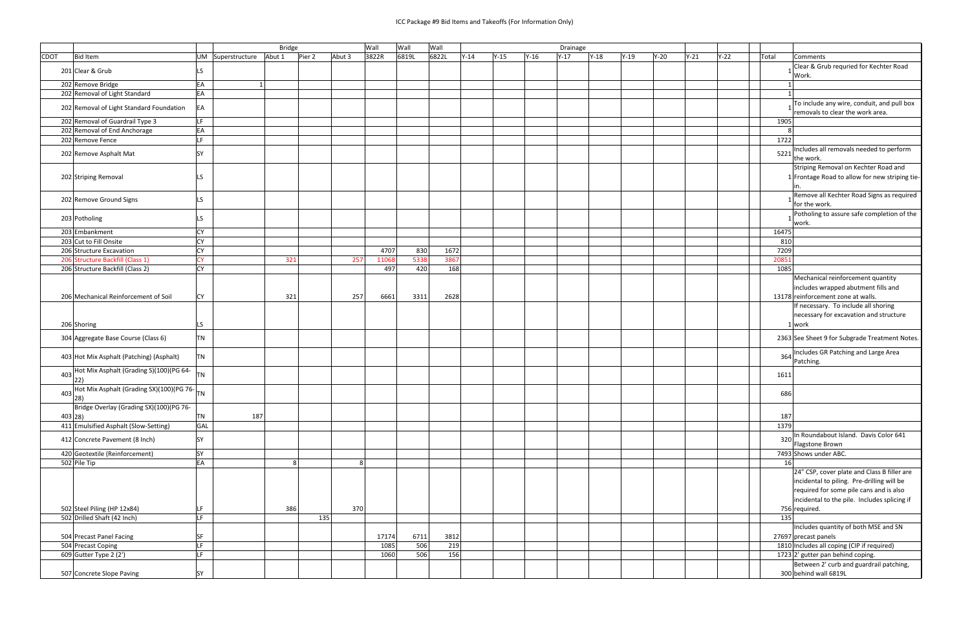|             |                                                             |           |                          | <b>Bridge</b> |        |                | Wall  | Wall  | Wall  |        |        |        | Drainage |        |        |      |        |        |       |                                                                                        |
|-------------|-------------------------------------------------------------|-----------|--------------------------|---------------|--------|----------------|-------|-------|-------|--------|--------|--------|----------|--------|--------|------|--------|--------|-------|----------------------------------------------------------------------------------------|
| <b>CDOT</b> | <b>Bid Item</b>                                             |           | UM Superstructure Abut 1 |               | Pier 2 | Abut 3         | 3822R | 6819L | 6822L | $Y-14$ | $Y-15$ | $Y-16$ | $Y-17$   | $Y-18$ | $Y-19$ | Y-20 | $Y-21$ | $Y-22$ | Total | <b>Comments</b>                                                                        |
|             | 201 Clear & Grub                                            | LS.       |                          |               |        |                |       |       |       |        |        |        |          |        |        |      |        |        |       | Clear & Grub requried for Kechter Road<br>Work.                                        |
|             | 202 Remove Bridge                                           | EA        |                          |               |        |                |       |       |       |        |        |        |          |        |        |      |        |        |       |                                                                                        |
|             | 202 Removal of Light Standard                               | EA        |                          |               |        |                |       |       |       |        |        |        |          |        |        |      |        |        |       |                                                                                        |
|             |                                                             |           |                          |               |        |                |       |       |       |        |        |        |          |        |        |      |        |        |       | To include any wire, conduit, and pull box                                             |
|             | 202 Removal of Light Standard Foundation                    | EA        |                          |               |        |                |       |       |       |        |        |        |          |        |        |      |        |        |       | removals to clear the work area.                                                       |
|             | 202 Removal of Guardrail Type 3                             | LF.       |                          |               |        |                |       |       |       |        |        |        |          |        |        |      |        |        |       | 1905                                                                                   |
|             | 202 Removal of End Anchorage                                | EA        |                          |               |        |                |       |       |       |        |        |        |          |        |        |      |        |        |       |                                                                                        |
|             | 202 Remove Fence                                            | LF.       |                          |               |        |                |       |       |       |        |        |        |          |        |        |      |        |        |       | 1722                                                                                   |
|             |                                                             |           |                          |               |        |                |       |       |       |        |        |        |          |        |        |      |        |        |       | Includes all removals needed to perform                                                |
|             | 202 Remove Asphalt Mat                                      | <b>SY</b> |                          |               |        |                |       |       |       |        |        |        |          |        |        |      |        |        |       | 5221<br>the work.                                                                      |
|             | 202 Striping Removal                                        | LS        |                          |               |        |                |       |       |       |        |        |        |          |        |        |      |        |        |       | Striping Removal on Kechter Road and<br>1 Frontage Road to allow for new striping tie- |
|             | 202 Remove Ground Signs                                     | LS.       |                          |               |        |                |       |       |       |        |        |        |          |        |        |      |        |        |       | Remove all Kechter Road Signs as required<br>for the work.                             |
|             | 203 Potholing                                               | LS.       |                          |               |        |                |       |       |       |        |        |        |          |        |        |      |        |        |       | Potholing to assure safe completion of the<br>work.                                    |
|             | 203 Embankment                                              | <b>CY</b> |                          |               |        |                |       |       |       |        |        |        |          |        |        |      |        |        | 16475 |                                                                                        |
|             | 203 Cut to Fill Onsite                                      | <b>CY</b> |                          |               |        |                |       |       |       |        |        |        |          |        |        |      |        |        |       | 810                                                                                    |
|             | 206 Structure Excavation                                    | <b>CY</b> |                          |               |        |                | 4707  | 830   |       | 1672   |        |        |          |        |        |      |        |        |       | 7209                                                                                   |
|             | 206 Structure Backfill (Class 1)                            | <b>CY</b> |                          | 321           |        | 257            | 11068 | 5338  |       | 3867   |        |        |          |        |        |      |        |        | 20851 |                                                                                        |
|             | 206 Structure Backfill (Class 2)                            | <b>CY</b> |                          |               |        |                | 497   | 420   |       | 168    |        |        |          |        |        |      |        |        |       | 1085                                                                                   |
|             |                                                             |           |                          |               |        |                |       |       |       |        |        |        |          |        |        |      |        |        |       | Mechanical reinforcement quantity                                                      |
|             |                                                             |           |                          |               |        |                |       |       |       |        |        |        |          |        |        |      |        |        |       | includes wrapped abutment fills and                                                    |
|             | 206 Mechanical Reinforcement of Soil                        | CY        |                          | 321           |        | 257            | 6661  | 3311  |       | 2628   |        |        |          |        |        |      |        |        |       | 13178 reinforcement zone at walls.                                                     |
|             |                                                             |           |                          |               |        |                |       |       |       |        |        |        |          |        |        |      |        |        |       |                                                                                        |
|             |                                                             |           |                          |               |        |                |       |       |       |        |        |        |          |        |        |      |        |        |       | If necessary. To include all shoring                                                   |
|             |                                                             |           |                          |               |        |                |       |       |       |        |        |        |          |        |        |      |        |        |       | necessary for excavation and structure                                                 |
|             | 206 Shoring                                                 | LS.       |                          |               |        |                |       |       |       |        |        |        |          |        |        |      |        |        |       | 1 work                                                                                 |
|             | 304 Aggregate Base Course (Class 6)                         | TN        |                          |               |        |                |       |       |       |        |        |        |          |        |        |      |        |        |       | 2363 See Sheet 9 for Subgrade Treatment Notes.                                         |
|             | 403 Hot Mix Asphalt (Patching) (Asphalt)                    | <b>TN</b> |                          |               |        |                |       |       |       |        |        |        |          |        |        |      |        |        |       | Includes GR Patching and Large Area<br>364<br>Patching.                                |
|             | 403 Hot Mix Asphalt (Grading S)(100)(PG 64-<br>$ 22\rangle$ | <b>TN</b> |                          |               |        |                |       |       |       |        |        |        |          |        |        |      |        |        |       | 1611                                                                                   |
|             | 403 Hot Mix Asphalt (Grading SX)(100)(PG 76-<br>28)         |           |                          |               |        |                |       |       |       |        |        |        |          |        |        |      |        |        |       |                                                                                        |
|             |                                                             |           |                          |               |        |                |       |       |       |        |        |        |          |        |        |      |        |        |       | 686                                                                                    |
|             | Bridge Overlay (Grading SX)(100)(PG 76-                     |           |                          |               |        |                |       |       |       |        |        |        |          |        |        |      |        |        |       |                                                                                        |
|             | 403 28)                                                     | TN        | 187                      |               |        |                |       |       |       |        |        |        |          |        |        |      |        |        |       | 187                                                                                    |
|             | 411 Emulsified Asphalt (Slow-Setting)                       | GAL       |                          |               |        |                |       |       |       |        |        |        |          |        |        |      |        |        |       | 1379                                                                                   |
|             |                                                             |           |                          |               |        |                |       |       |       |        |        |        |          |        |        |      |        |        |       | In Roundabout Island. Davis Color 641                                                  |
|             | 412 Concrete Pavement (8 Inch)                              | SY        |                          |               |        |                |       |       |       |        |        |        |          |        |        |      |        |        |       | 320<br>Flagstone Brown                                                                 |
|             | 420 Geotextile (Reinforcement)                              | SY        |                          |               |        |                |       |       |       |        |        |        |          |        |        |      |        |        |       | 7493 Shows under ABC.                                                                  |
|             | 502 Pile Tip                                                | EA        |                          | 8             |        | 8 <sup>1</sup> |       |       |       |        |        |        |          |        |        |      |        |        |       | 16                                                                                     |
|             |                                                             |           |                          |               |        |                |       |       |       |        |        |        |          |        |        |      |        |        |       | 24" CSP, cover plate and Class B filler are                                            |
|             |                                                             |           |                          |               |        |                |       |       |       |        |        |        |          |        |        |      |        |        |       | incidental to piling. Pre-drilling will be                                             |
|             |                                                             |           |                          |               |        |                |       |       |       |        |        |        |          |        |        |      |        |        |       | required for some pile cans and is also                                                |
|             |                                                             |           |                          |               |        |                |       |       |       |        |        |        |          |        |        |      |        |        |       | incidental to the pile. Includes splicing if                                           |
|             | 502 Steel Piling (HP 12x84)                                 |           |                          | 386           |        | 370            |       |       |       |        |        |        |          |        |        |      |        |        |       | 756 required.                                                                          |
|             |                                                             | LF        |                          |               |        |                |       |       |       |        |        |        |          |        |        |      |        |        |       |                                                                                        |
|             | 502 Drilled Shaft (42 Inch)                                 | LF.       |                          |               | 135    |                |       |       |       |        |        |        |          |        |        |      |        |        |       | 135                                                                                    |
|             |                                                             |           |                          |               |        |                |       |       |       |        |        |        |          |        |        |      |        |        |       | Includes quantity of both MSE and SN                                                   |
|             | 504 Precast Panel Facing                                    | SF        |                          |               |        |                | 17174 | 6711  |       | 3812   |        |        |          |        |        |      |        |        |       | 27697 precast panels                                                                   |
|             | 504 Precast Coping                                          | LF.       |                          |               |        |                | 1085  | 506   |       | 219    |        |        |          |        |        |      |        |        |       | 1810 Includes all coping (CIP if required)                                             |
|             | 609 Gutter Type 2 (2')                                      | LF.       |                          |               |        |                | 1060  | 506   |       | 156    |        |        |          |        |        |      |        |        |       | 1723 2' gutter pan behind coping.                                                      |
|             |                                                             |           |                          |               |        |                |       |       |       |        |        |        |          |        |        |      |        |        |       | Between 2' curb and guardrail patching,                                                |
|             | 507 Concrete Slope Paving                                   | SY        |                          |               |        |                |       |       |       |        |        |        |          |        |        |      |        |        |       | 300 behind wall 6819L                                                                  |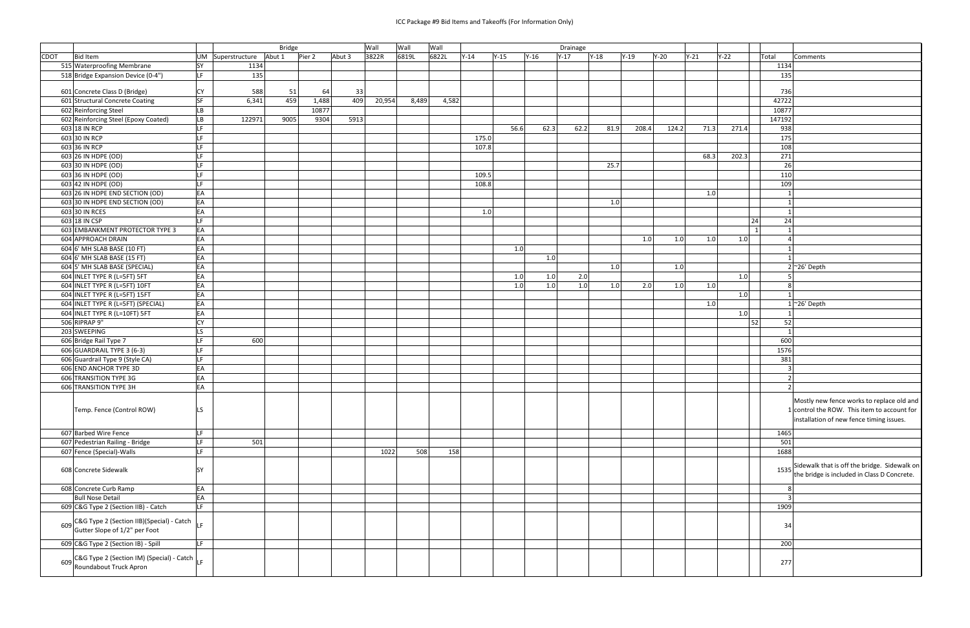## ICC Package #9 Bid Items and Takeoffs (For Information Only)

|                                                                                            |           |                | <b>Bridge</b> |        |        | Wall   | Wall  | Wall  |        |        |        |        | Drainage |        |        |        |        |        |                |                                 |
|--------------------------------------------------------------------------------------------|-----------|----------------|---------------|--------|--------|--------|-------|-------|--------|--------|--------|--------|----------|--------|--------|--------|--------|--------|----------------|---------------------------------|
| <b>CDOT</b><br><b>Bid Item</b>                                                             | UM        | Superstructure | Abut 1        | Pier 2 | Abut 3 | 3822R  | 6819L | 6822L | $Y-14$ | $Y-15$ | $Y-16$ | $Y-17$ |          | $Y-18$ | $Y-19$ | $Y-20$ | $Y-21$ | $Y-22$ | Total          | Comments                        |
| 515 Waterproofing Membrane                                                                 | <b>SY</b> | 1134           |               |        |        |        |       |       |        |        |        |        |          |        |        |        |        |        | 1134           |                                 |
| 518 Bridge Expansion Device (0-4")                                                         | LF        | 135            |               |        |        |        |       |       |        |        |        |        |          |        |        |        |        |        | 135            |                                 |
|                                                                                            |           |                |               |        |        |        |       |       |        |        |        |        |          |        |        |        |        |        |                |                                 |
| 601 Concrete Class D (Bridge)                                                              | <b>CY</b> | 588            | 51            | 64     | 33     |        |       |       |        |        |        |        |          |        |        |        |        |        | 736            |                                 |
| 601 Structural Concrete Coating                                                            | <b>SF</b> | 6,341          | 459           | 1,488  | 409    | 20,954 | 8,489 | 4,582 |        |        |        |        |          |        |        |        |        |        | 42722          |                                 |
| 602 Reinforcing Steel                                                                      | <b>LB</b> |                |               | 10877  |        |        |       |       |        |        |        |        |          |        |        |        |        |        | 10877          |                                 |
| 602 Reinforcing Steel (Epoxy Coated)                                                       | LB        | 122971         | 9005          | 9304   | 5913   |        |       |       |        |        |        |        |          |        |        |        |        |        | 147192         |                                 |
| 603 18 IN RCP                                                                              | LF        |                |               |        |        |        |       |       |        | 56.6   |        | 62.3   | 62.2     | 81.9   | 208.4  | 124.2  | 71.3   | 271.4  | 938            |                                 |
| 603 30 IN RCP                                                                              | LF        |                |               |        |        |        |       |       | 175.0  |        |        |        |          |        |        |        |        |        | 175            |                                 |
| 603 36 IN RCP                                                                              | LF.       |                |               |        |        |        |       |       | 107.8  |        |        |        |          |        |        |        |        |        | 108            |                                 |
| 603 26 IN HDPE (OD)                                                                        | LF.       |                |               |        |        |        |       |       |        |        |        |        |          |        |        |        | 68.3   | 202.3  | 271            |                                 |
| 603 30 IN HDPE (OD)                                                                        | LF        |                |               |        |        |        |       |       |        |        |        |        |          | 25.7   |        |        |        |        | 26             |                                 |
| 603 36 IN HDPE (OD)                                                                        | LF        |                |               |        |        |        |       |       | 109.5  |        |        |        |          |        |        |        |        |        | 110            |                                 |
| 603 42 IN HDPE (OD)                                                                        | LF        |                |               |        |        |        |       |       | 108.8  |        |        |        |          |        |        |        |        |        | 109            |                                 |
| 603 26 IN HDPE END SECTION (OD)                                                            | EA        |                |               |        |        |        |       |       |        |        |        |        |          |        |        |        | 1.0    |        |                |                                 |
| 603 30 IN HDPE END SECTION (OD)                                                            | EA        |                |               |        |        |        |       |       |        |        |        |        |          | 1.0    |        |        |        |        |                |                                 |
| 603 30 IN RCES                                                                             | EA        |                |               |        |        |        |       |       | 1.0    |        |        |        |          |        |        |        |        |        |                |                                 |
| 603 18 IN CSP                                                                              | ILF.      |                |               |        |        |        |       |       |        |        |        |        |          |        |        |        |        |        | 24<br>24       |                                 |
| 603 EMBANKMENT PROTECTOR TYPE 3                                                            | EA        |                |               |        |        |        |       |       |        |        |        |        |          |        |        |        |        |        | $\mathbf{1}$   |                                 |
| 604 APPROACH DRAIN                                                                         | EA<br>EA  |                |               |        |        |        |       |       |        |        |        |        |          |        | 1.0    | 1.0    | 1.0    | $1.0$  |                |                                 |
| 604 6' MH SLAB BASE (10 FT)                                                                | EA        |                |               |        |        |        |       |       |        | 1.0    |        |        |          |        |        |        |        |        |                |                                 |
| 604 6' MH SLAB BASE (15 FT)                                                                | EA        |                |               |        |        |        |       |       |        |        |        | 1.0    |          |        |        |        |        |        |                | $2$ ~26' Depth                  |
| 604 5' MH SLAB BASE (SPECIAL)<br>604 INLET TYPE R (L=5FT) 5FT                              | EA        |                |               |        |        |        |       |       |        | 1.0    |        | 1.0    | 2.0      | 1.0    |        | 1.0    |        | 1.0    |                |                                 |
| 604 INLET TYPE R (L=5FT) 10FT                                                              | EA        |                |               |        |        |        |       |       |        | $1.0$  |        | 1.0    | 1.0      | 1.0    | 2.0    | 1.0    | 1.0    |        | 8              |                                 |
| 604 INLET TYPE R (L=5FT) 15FT                                                              | EA        |                |               |        |        |        |       |       |        |        |        |        |          |        |        |        |        | 1.0    |                |                                 |
| 604 INLET TYPE R (L=5FT) (SPECIAL)                                                         | EA        |                |               |        |        |        |       |       |        |        |        |        |          |        |        |        | 1.0    |        |                | $1$ ~26' Depth                  |
| 604 INLET TYPE R (L=10FT) 5FT                                                              | EA        |                |               |        |        |        |       |       |        |        |        |        |          |        |        |        |        | 1.0    |                |                                 |
| 506 RIPRAP 9"                                                                              | <b>CY</b> |                |               |        |        |        |       |       |        |        |        |        |          |        |        |        |        |        | 52<br>52       |                                 |
| 203 SWEEPING                                                                               | LS.       |                |               |        |        |        |       |       |        |        |        |        |          |        |        |        |        |        |                |                                 |
| 606 Bridge Rail Type 7                                                                     | LF        | 600            |               |        |        |        |       |       |        |        |        |        |          |        |        |        |        |        | 600            |                                 |
| 606 GUARDRAIL TYPE 3 (6-3)                                                                 | LF        |                |               |        |        |        |       |       |        |        |        |        |          |        |        |        |        |        | 1576           |                                 |
| 606 Guardrail Type 9 (Style CA)                                                            | LF        |                |               |        |        |        |       |       |        |        |        |        |          |        |        |        |        |        | 381            |                                 |
| 606 END ANCHOR TYPE 3D                                                                     | EA        |                |               |        |        |        |       |       |        |        |        |        |          |        |        |        |        |        |                |                                 |
| 606 TRANSITION TYPE 3G                                                                     | EA        |                |               |        |        |        |       |       |        |        |        |        |          |        |        |        |        |        | $\overline{2}$ |                                 |
| 606 TRANSITION TYPE 3H                                                                     | EA        |                |               |        |        |        |       |       |        |        |        |        |          |        |        |        |        |        | 2              |                                 |
|                                                                                            |           |                |               |        |        |        |       |       |        |        |        |        |          |        |        |        |        |        |                |                                 |
|                                                                                            |           |                |               |        |        |        |       |       |        |        |        |        |          |        |        |        |        |        |                | Mostly nev                      |
| Temp. Fence (Control ROW)                                                                  | <b>LS</b> |                |               |        |        |        |       |       |        |        |        |        |          |        |        |        |        |        |                | $1$ control the<br>installatior |
|                                                                                            |           |                |               |        |        |        |       |       |        |        |        |        |          |        |        |        |        |        |                |                                 |
| 607 Barbed Wire Fence                                                                      | LF        |                |               |        |        |        |       |       |        |        |        |        |          |        |        |        |        |        | 1465           |                                 |
| 607 Pedestrian Railing - Bridge                                                            | LF        | 501            |               |        |        |        |       |       |        |        |        |        |          |        |        |        |        |        | 501            |                                 |
| 607 Fence (Special)-Walls                                                                  | LF        |                |               |        |        | 1022   | 508   |       | 158    |        |        |        |          |        |        |        |        |        | 1688           |                                 |
|                                                                                            |           |                |               |        |        |        |       |       |        |        |        |        |          |        |        |        |        |        |                |                                 |
| 608 Concrete Sidewalk                                                                      | SY        |                |               |        |        |        |       |       |        |        |        |        |          |        |        |        |        |        |                | $1535$ Sidewalk the bridge      |
|                                                                                            |           |                |               |        |        |        |       |       |        |        |        |        |          |        |        |        |        |        |                |                                 |
| 608 Concrete Curb Ramp                                                                     | EA        |                |               |        |        |        |       |       |        |        |        |        |          |        |        |        |        |        | 8 <sup>1</sup> |                                 |
| <b>Bull Nose Detail</b>                                                                    | EA        |                |               |        |        |        |       |       |        |        |        |        |          |        |        |        |        |        |                |                                 |
| 609 C&G Type 2 (Section IIB) - Catch                                                       | LF        |                |               |        |        |        |       |       |        |        |        |        |          |        |        |        |        |        | 1909           |                                 |
|                                                                                            |           |                |               |        |        |        |       |       |        |        |        |        |          |        |        |        |        |        |                |                                 |
| 609 C&G Type 2 (Section IIB)(Special) - Catch $\Bigg $ LF<br>Gutter Slope of 1/2" per Foot |           |                |               |        |        |        |       |       |        |        |        |        |          |        |        |        |        |        | 34             |                                 |
|                                                                                            |           |                |               |        |        |        |       |       |        |        |        |        |          |        |        |        |        |        |                |                                 |
| 609 C&G Type 2 (Section IB) - Spill                                                        | LF        |                |               |        |        |        |       |       |        |        |        |        |          |        |        |        |        |        | 200            |                                 |
|                                                                                            |           |                |               |        |        |        |       |       |        |        |        |        |          |        |        |        |        |        | 277            |                                 |
| 609 C&G Type 2 (Section IM) (Special) - Catch LF<br>Roundabout Truck Apron                 |           |                |               |        |        |        |       |       |        |        |        |        |          |        |        |        |        |        |                |                                 |
|                                                                                            |           |                |               |        |        |        |       |       |        |        |        |        |          |        |        |        |        |        |                |                                 |

|           | $Y-22$ |                | Total             | Comments                                                                                    |
|-----------|--------|----------------|-------------------|---------------------------------------------------------------------------------------------|
|           |        |                | 1134              |                                                                                             |
|           |        |                | 135               |                                                                                             |
|           |        |                |                   |                                                                                             |
|           |        |                | 736               |                                                                                             |
|           |        |                | 42722             |                                                                                             |
|           |        |                | 10877             |                                                                                             |
|           |        |                | 147192            |                                                                                             |
| .3        | 271.4  |                | 938               |                                                                                             |
|           |        |                | 175               |                                                                                             |
|           |        |                | 108               |                                                                                             |
| $\cdot$ 3 | 202.3  |                | 271               |                                                                                             |
|           |        |                | 26                |                                                                                             |
|           |        |                | 110               |                                                                                             |
|           |        |                | 109               |                                                                                             |
| 0.5       |        |                | 1                 |                                                                                             |
|           |        |                | 1                 |                                                                                             |
|           |        |                | $\mathbf{1}$      |                                                                                             |
|           |        | 24             | 24                |                                                                                             |
|           |        | $\overline{1}$ | 1                 |                                                                                             |
| .0        | $1.0$  |                | 4<br>$\mathbf{1}$ |                                                                                             |
|           |        |                | 1                 |                                                                                             |
|           |        |                | $\overline{2}$    | ~26' Depth                                                                                  |
|           | $1.0$  |                | 5                 |                                                                                             |
| .0        |        |                | 8                 |                                                                                             |
|           | 1.0    |                | $\mathbf{1}$      |                                                                                             |
| .0        |        |                | 1                 | ~26' Depth                                                                                  |
|           | $1.0$  |                | $\mathbf{1}$      |                                                                                             |
|           |        | 52             | 52                |                                                                                             |
|           |        |                | 1                 |                                                                                             |
|           |        |                | 600               |                                                                                             |
|           |        |                | 1576              |                                                                                             |
|           |        |                | 381               |                                                                                             |
|           |        |                | 3                 |                                                                                             |
|           |        |                | $\overline{c}$    |                                                                                             |
|           |        |                | $\overline{2}$    |                                                                                             |
|           |        |                |                   | Mostly new fence works to replace old and<br>1 control the ROW. This item to account for    |
|           |        |                |                   | installation of new fence timing issues.                                                    |
|           |        |                | 1465              |                                                                                             |
|           |        |                | 501               |                                                                                             |
|           |        |                | 1688              |                                                                                             |
|           |        |                | 1535              | Sidewalk that is off the bridge. Sidewalk on<br>the bridge is included in Class D Concrete. |
|           |        |                | 8                 |                                                                                             |
|           |        |                | 3                 |                                                                                             |
|           |        |                | 1909              |                                                                                             |
|           |        |                | 34                |                                                                                             |
|           |        |                | 200               |                                                                                             |
|           |        |                |                   |                                                                                             |
|           |        |                | 277               |                                                                                             |